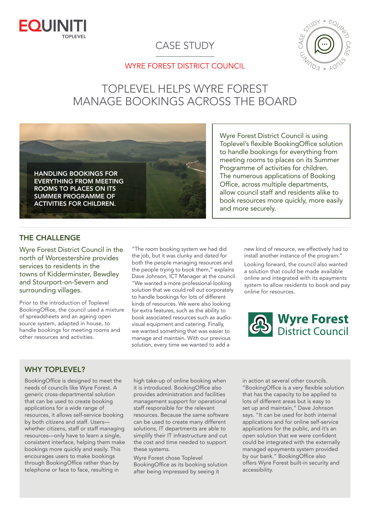

# CASE STUDY



# WYRE FOREST DISTRICT COUNCIL

# TOPLEVEL HELPS WYRE FOREST MANAGE BOOKINGS ACROSS THE BOARD



Wyre Forest District Council is using Toplevel's flexible BookingOffice solution to handle bookings for everything from meeting rooms to places on its Summer Programme of activities for children. The numerous applications of Booking Office, across multiple departments, allow council staff and residents alike to book resources more quickly, more easily and more securely.

### THE CHALLENGE

Wyre Forest District Council in the north of Worcestershire provides services to residents in the towns of Kidderminster, Bewdley and Stourport-on-Severn and surrounding villages.

Prior to the introduction of Toplevel BookingOffice, the council used a mixture of spreadsheets and an ageing open source system, adapted in house, to handle bookings for meeting rooms and other resources and activities.

"The room booking system we had did the job, but it was clunky and dated for both the people managing resources and the people trying to book them," explains Dave Johnson, ICT Manager at the council. "We wanted a more professional-looking solution that we could roll out corporately to handle bookings for lots of different kinds of resources. We were also looking for extra features, such as the ability to book associated resources such as audiovisual equipment and catering. Finally, we wanted something that was easier to manage and maintain. With our previous solution, every time we wanted to add a

new kind of resource, we effectively had to install another instance of the program."

Looking forward, the council also wanted a solution that could be made available online and integrated with its epayments system to allow residents to book and pay online for resources.



#### WHY TOPLEVEL?

BookingOffice is designed to meet the needs of councils like Wyre Forest. A generic cross-departmental solution that can be used to create booking applications for a wide range of resources, it allows self-service booking by both citizens and staff. Users whether citizens, staff or staff managing resources—only have to learn a single, consistent interface, helping them make bookings more quickly and easily. This encourages users to make bookings through BookingOffice rather than by telephone or face to face, resulting in

high take-up of online booking when it is introduced. BookingOffice also provides administration and facilities management support for operational staff responsible for the relevant resources. Because the same software can be used to create many different solutions, IT departments are able to simplify their IT infrastructure and cut the cost and time needed to support these systems.

Wyre Forest chose Toplevel BookingOffice as its booking solution after being impressed by seeing it

in action at several other councils. "BookingOffice is a very flexible solution that has the capacity to be applied to lots of different areas but is easy to set up and maintain," Dave Johnson says. "It can be used for both internal applications and for online self-service applications for the public, and it's an open solution that we were confident could be integrated with the externally managed epayments system provided by our bank." BookingOffice also offers Wyre Forest built-in security and accessibility.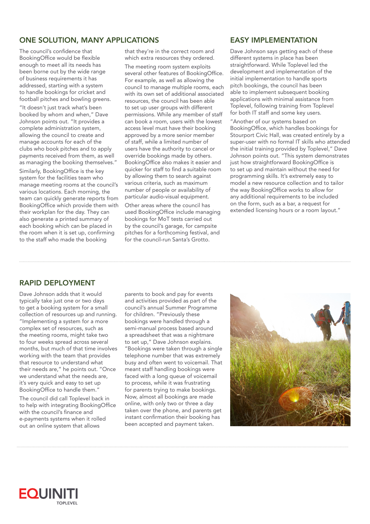# ONE SOLUTION, MANY APPLICATIONS

The council's confidence that BookingOffice would be flexible enough to meet all its needs has been borne out by the wide range of business requirements it has addressed, starting with a system to handle bookings for cricket and football pitches and bowling greens.

"It doesn't just track what's been booked by whom and when," Dave Johnson points out. "It provides a complete administration system, allowing the council to create and manage accounts for each of the clubs who book pitches and to apply payments received from them, as well as managing the booking themselves."

Similarly, BookingOffice is the key system for the facilities team who manage meeting rooms at the council's various locations. Each morning, the team can quickly generate reports from BookingOffice which provide them with their workplan for the day. They can also generate a printed summary of each booking which can be placed in the room when it is set up, confirming to the staff who made the booking

that they're in the correct room and which extra resources they ordered.

The meeting room system exploits several other features of BookingOffice. For example, as well as allowing the council to manage multiple rooms, each with its own set of additional associated resources, the council has been able to set up user groups with different permissions. While any member of staff can book a room, users with the lowest access level must have their booking approved by a more senior member of staff, while a limited number of users have the authority to cancel or override bookings made by others. BookingOffice also makes it easier and quicker for staff to find a suitable room by allowing them to search against various criteria, such as maximum number of people or availability of particular audio-visual equipment. Other areas where the council has used BookingOffice include managing bookings for MoT tests carried out by the council's garage, for campsite pitches for a forthcoming festival, and for the council-run Santa's Grotto.

#### EASY IMPLEMENTATION

Dave Johnson says getting each of these different systems in place has been straightforward. While Toplevel led the development and implementation of the initial implementation to handle sports pitch bookings, the council has been able to implement subsequent booking applications with minimal assistance from Toplevel, following training from Toplevel for both IT staff and some key users.

"Another of our systems based on BookingOffice, which handles bookings for Stourport Civic Hall, was created entirely by a super-user with no formal IT skills who attended the initial training provided by Toplevel," Dave Johnson points out. "This system demonstrates just how straightforward BookingOffice is to set up and maintain without the need for programming skills. It's extremely easy to model a new resource collection and to tailor the way BookingOffice works to allow for any additional requirements to be included on the form, such as a bar, a request for extended licensing hours or a room layout."

## RAPID DEPLOYMENT

Dave Johnson adds that it would typically take just one or two days to get a booking system for a small collection of resources up and running. "Implementing a system for a more complex set of resources, such as the meeting rooms, might take two to four weeks spread across several months, but much of that time involves working with the team that provides that resource to understand what their needs are," he points out. "Once we understand what the needs are, it's very quick and easy to set up BookingOffice to handle them."

The council did call Toplevel back in to help with integrating BookingOffice with the council's finance and e-payments systems when it rolled out an online system that allows

parents to book and pay for events and activities provided as part of the council's annual Summer Programme for children. "Previously these bookings were handled through a semi-manual process based around a spreadsheet that was a nightmare to set up," Dave Johnson explains. "Bookings were taken through a single telephone number that was extremely busy and often went to voicemail. That meant staff handling bookings were faced with a long queue of voicemail to process, while it was frustrating for parents trying to make bookings. Now, almost all bookings are made online, with only two or three a day taken over the phone, and parents get instant confirmation their booking has been accepted and payment taken.